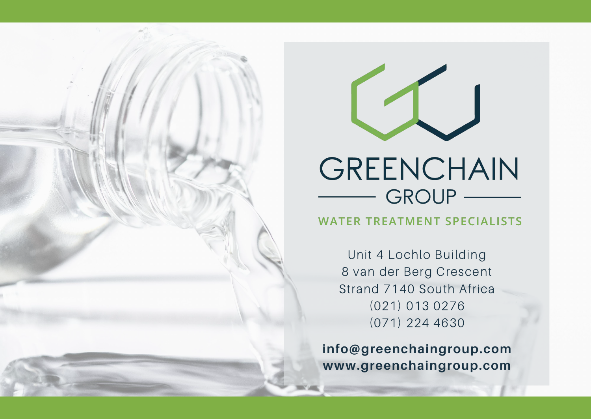

**WATER TREATMENT SPECIALISTS** 

Unit 4 Lochlo Building 8 van der Berg Crescent Strand 7140 South Africa (021) 013 0276 (071) 224 4630

**info@greenchaingroup.com www.greenchaingroup.com**

# GROUP —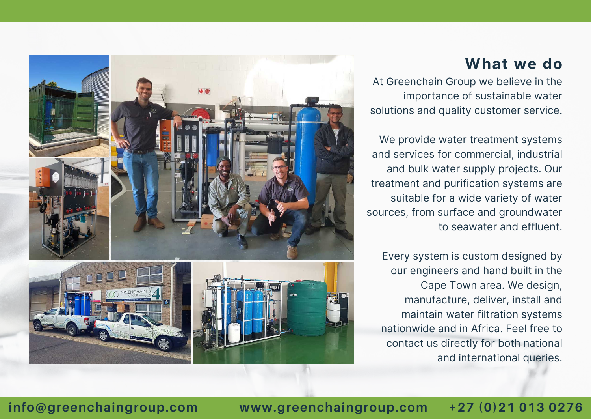# **What we do**



At Greenchain Group we believe in the importance of sustainable water solutions and quality customer service.

We provide water treatment systems and services for commercial, industrial and bulk water supply projects. Our treatment and purification systems are suitable for a wide variety of water sources, from surface and groundwater to seawater and effluent.

Every system is custom designed by our engineers and hand built in the Cape Town area. We design, manufacture, deliver, install and maintain water filtration systems nationwide and in Africa. Feel free to contact us directly for both national and international queries.

# **info@greenchaingroup.com www.greenchaingroup.com +27 (0)21 013 0276**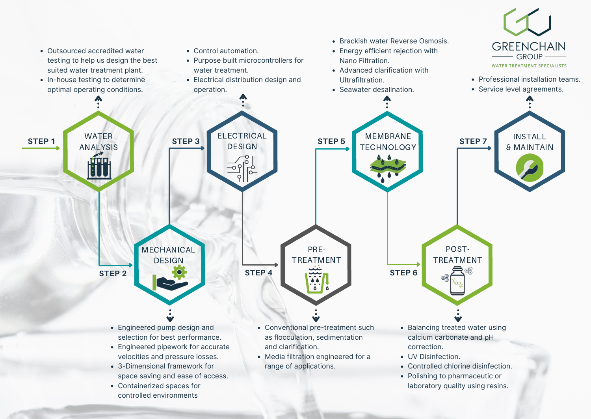